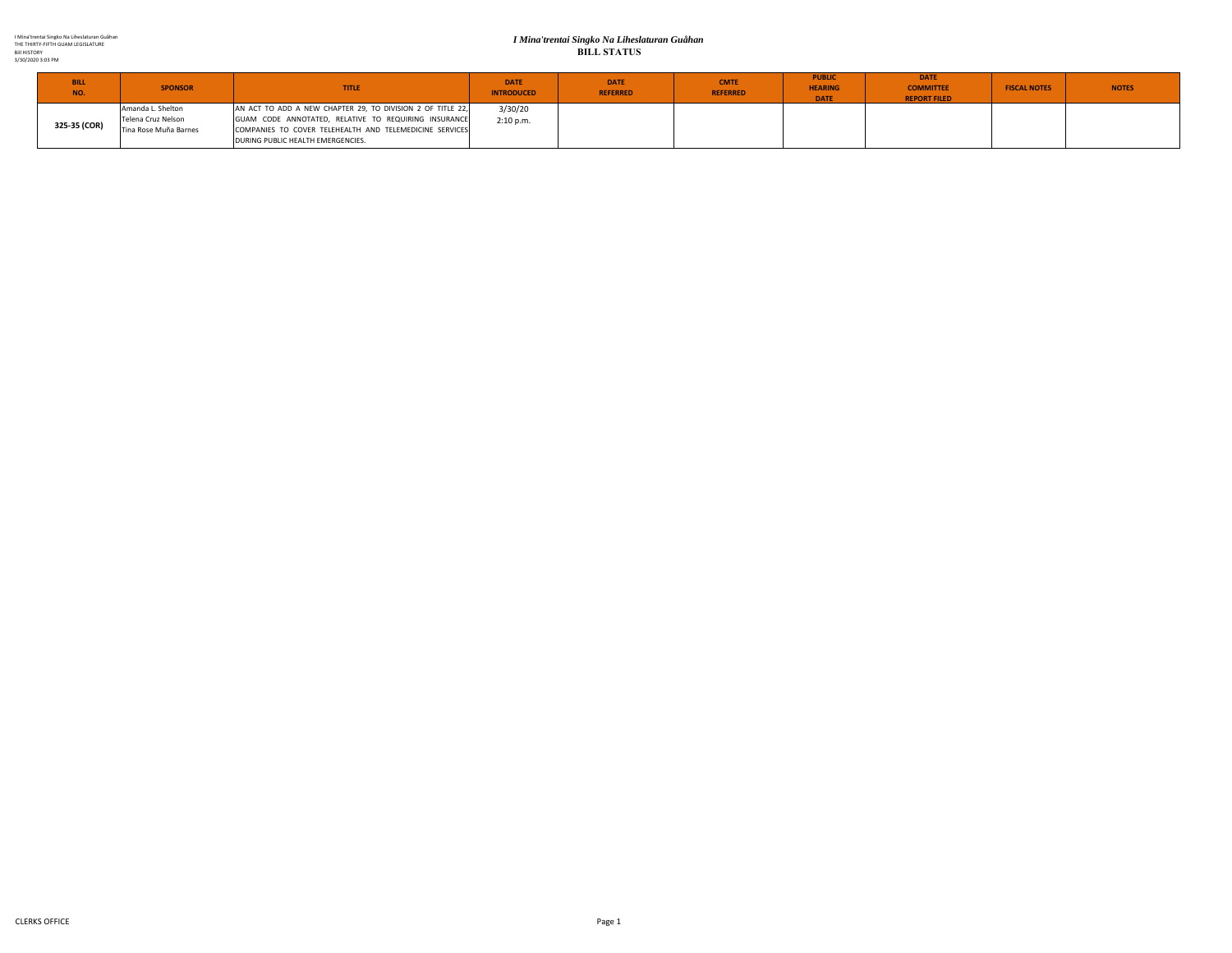## *I Mina'trentai Singko Na Liheslaturan Guåhan* **BILL STATUS**

| <b>BILL</b><br>NO. | <b>SPONSOR</b>                                                   | <b>TITLE</b>                                                                                                                                                                                                       | <b>DATE</b><br><b>INTRODUCED</b> | <b>DATE</b><br><b>REFERRED</b> | <b>CMTE</b><br><b>REFERRED</b> | <b>PUBLIC</b><br><b>HEARING</b><br><b>DATE</b> | <b>DATE</b><br><b>COMMITTEE</b><br><b>REPORT FILED</b> | <b>FISCAL NOTES</b> | <b>NOTES</b> |
|--------------------|------------------------------------------------------------------|--------------------------------------------------------------------------------------------------------------------------------------------------------------------------------------------------------------------|----------------------------------|--------------------------------|--------------------------------|------------------------------------------------|--------------------------------------------------------|---------------------|--------------|
| 325-35 (COR)       | Amanda L. Shelton<br>Telena Cruz Nelson<br>Tina Rose Muña Barnes | AN ACT TO ADD A NEW CHAPTER 29, TO DIVISION 2 OF TITLE 22,<br>GUAM CODE ANNOTATED, RELATIVE TO REQUIRING INSURANCE<br>COMPANIES TO COVER TELEHEALTH AND TELEMEDICINE SERVICES<br>DURING PUBLIC HEALTH EMERGENCIES. | 3/30/20<br>2:10 p.m.             |                                |                                |                                                |                                                        |                     |              |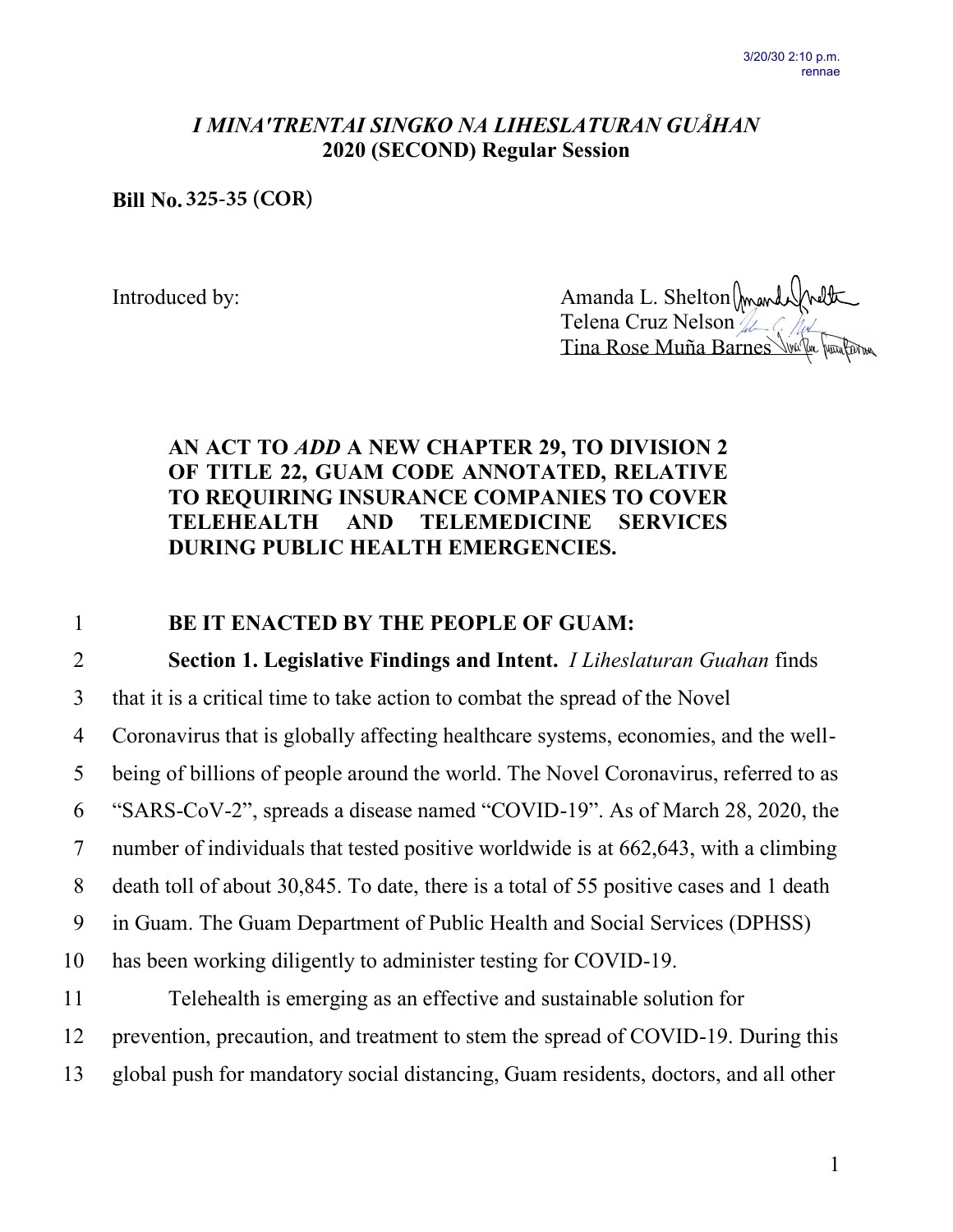## *I MINA'TRENTAI SINGKO NA LIHESLATURAN GUÅHAN* **2020 (SECOND) Regular Session**

**Bill No. 325-35 (COR)**

Introduced by: Amanda L. Shelton Telena Cruz Nelson Tina Rose Muña Barnes

## **AN ACT TO** *ADD* **A NEW CHAPTER 29, TO DIVISION 2 OF TITLE 22, GUAM CODE ANNOTATED, RELATIVE TO REQUIRING INSURANCE COMPANIES TO COVER TELEHEALTH AND TELEMEDICINE SERVICES DURING PUBLIC HEALTH EMERGENCIES.**

1 **BE IT ENACTED BY THE PEOPLE OF GUAM:**

2 **Section 1. Legislative Findings and Intent.** *I Liheslaturan Guahan* finds

3 that it is a critical time to take action to combat the spread of the Novel

4 Coronavirus that is globally affecting healthcare systems, economies, and the well-

5 being of billions of people around the world. The Novel Coronavirus, referred to as

6 "SARS-CoV-2", spreads a disease named "COVID-19". As of March 28, 2020, the

7 number of individuals that tested positive worldwide is at 662,643, with a climbing

8 death toll of about 30,845. To date, there is a total of 55 positive cases and 1 death

9 in Guam. The Guam Department of Public Health and Social Services (DPHSS)

10 has been working diligently to administer testing for COVID-19.

11 Telehealth is emerging as an effective and sustainable solution for 12 prevention, precaution, and treatment to stem the spread of COVID-19. During this 13 global push for mandatory social distancing, Guam residents, doctors, and all other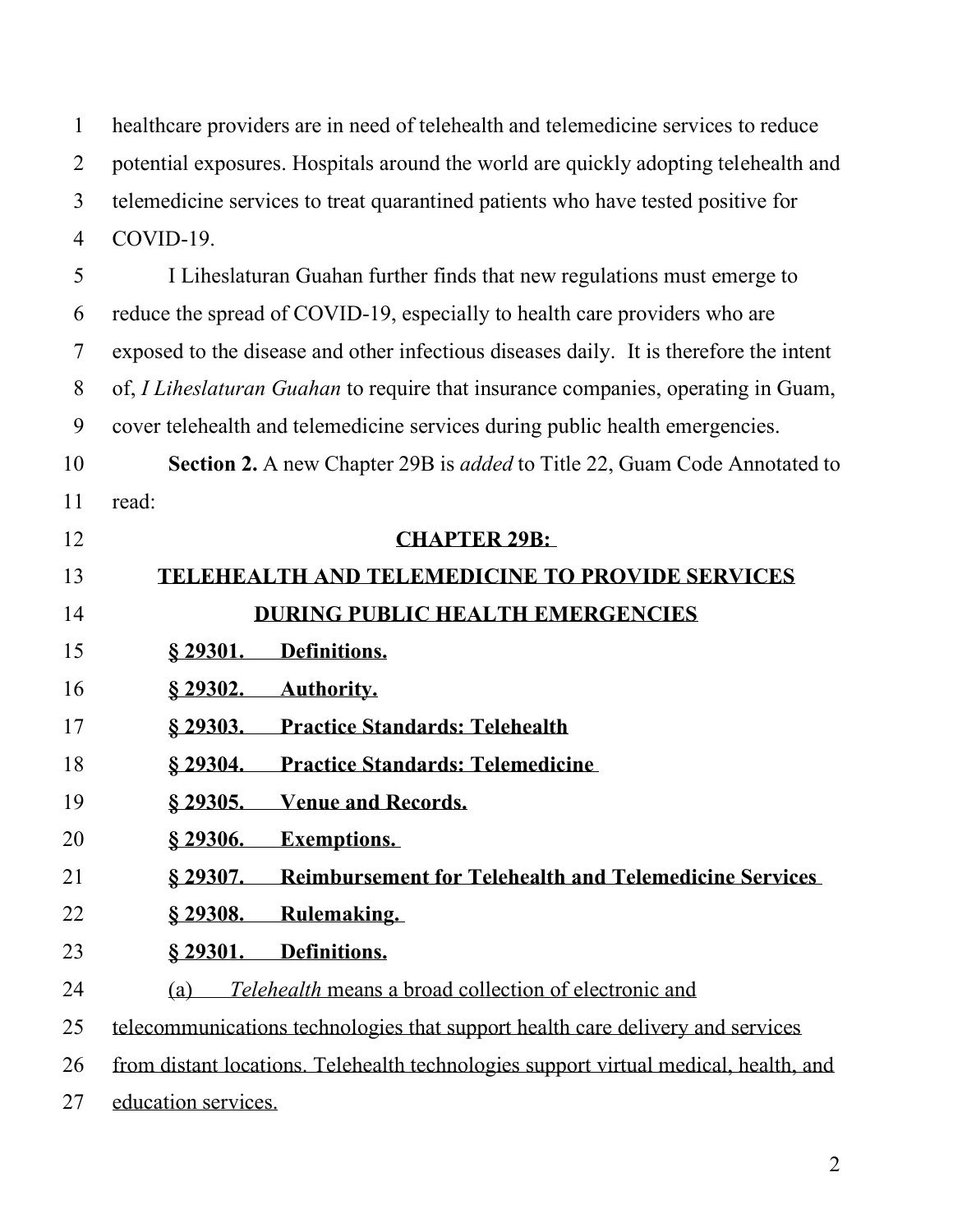healthcare providers are in need of telehealth and telemedicine services to reduce potential exposures. Hospitals around the world are quickly adopting telehealth and telemedicine services to treat quarantined patients who have tested positive for COVID-19.

 I Liheslaturan Guahan further finds that new regulations must emerge to reduce the spread of COVID-19, especially to health care providers who are exposed to the disease and other infectious diseases daily. It is therefore the intent of, *I Liheslaturan Guahan* to require that insurance companies, operating in Guam, cover telehealth and telemedicine services during public health emergencies. **Section 2.** A new Chapter 29B is *added* to Title 22, Guam Code Annotated to read:

 **CHAPTER 29B: TELEHEALTH AND TELEMEDICINE TO PROVIDE SERVICES DURING PUBLIC HEALTH EMERGENCIES § 29301. Definitions. § 29302. Authority. § 29303. Practice Standards: Telehealth § 29304. Practice Standards: Telemedicine § 29305. Venue and Records. § 29306. Exemptions. § 29307. Reimbursement for Telehealth and Telemedicine Services § 29308. Rulemaking. § 29301. Definitions.** (a) *Telehealth* means a broad collection of electronic and telecommunications technologies that support health care delivery and services from distant locations. Telehealth technologies support virtual medical, health, and education services.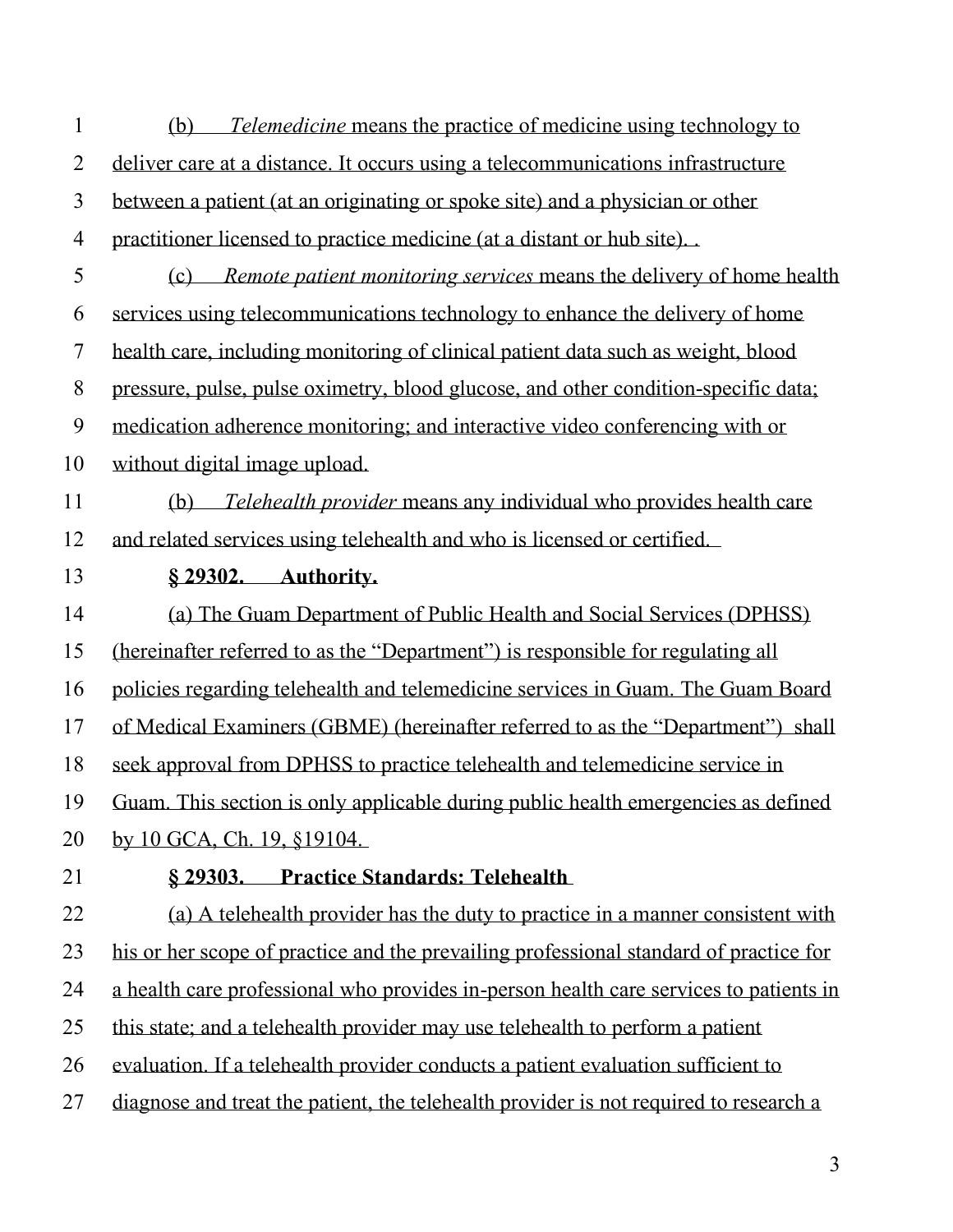| $\mathbf{1}$   | (b) Telemedicine means the practice of medicine using technology to                   |
|----------------|---------------------------------------------------------------------------------------|
| $\overline{2}$ | deliver care at a distance. It occurs using a telecommunications infrastructure       |
| $\overline{3}$ | between a patient (at an originating or spoke site) and a physician or other          |
| $\overline{4}$ | practitioner licensed to practice medicine (at a distant or hub site)                 |
| 5              | (c) Remote patient monitoring services means the delivery of home health              |
| 6              | services using telecommunications technology to enhance the delivery of home          |
| $\overline{7}$ | health care, including monitoring of clinical patient data such as weight, blood      |
| 8              | pressure, pulse, pulse oximetry, blood glucose, and other condition-specific data;    |
| 9              | medication adherence monitoring; and interactive video conferencing with or           |
| 10             | without digital image upload.                                                         |
| 11             | (b) <i>Telehealth provider</i> means any individual who provides health care          |
| 12             | and related services using telehealth and who is licensed or certified.               |
| 13             | § 29302. Authority.                                                                   |
| 14             | (a) The Guam Department of Public Health and Social Services (DPHSS)                  |
| 15             | (hereinafter referred to as the "Department") is responsible for regulating all       |
| 16             | policies regarding telehealth and telemedicine services in Guam. The Guam Board       |
| 17             | of Medical Examiners (GBME) (hereinafter referred to as the "Department") shall       |
| 18             | seek approval from DPHSS to practice telehealth and telemedicine service in           |
| 19             | Guam. This section is only applicable during public health emergencies as defined     |
| 20             | by 10 GCA, Ch. 19, §19104.                                                            |
| 21             | § 29303. Practice Standards: Telehealth                                               |
| 22             | (a) A telehealth provider has the duty to practice in a manner consistent with        |
| 23             | his or her scope of practice and the prevailing professional standard of practice for |
| 24             | a health care professional who provides in-person health care services to patients in |
| 25             | this state; and a telehealth provider may use telehealth to perform a patient         |
| 26             | evaluation. If a telehealth provider conducts a patient evaluation sufficient to      |
| 27             | diagnose and treat the patient, the telehealth provider is not required to research a |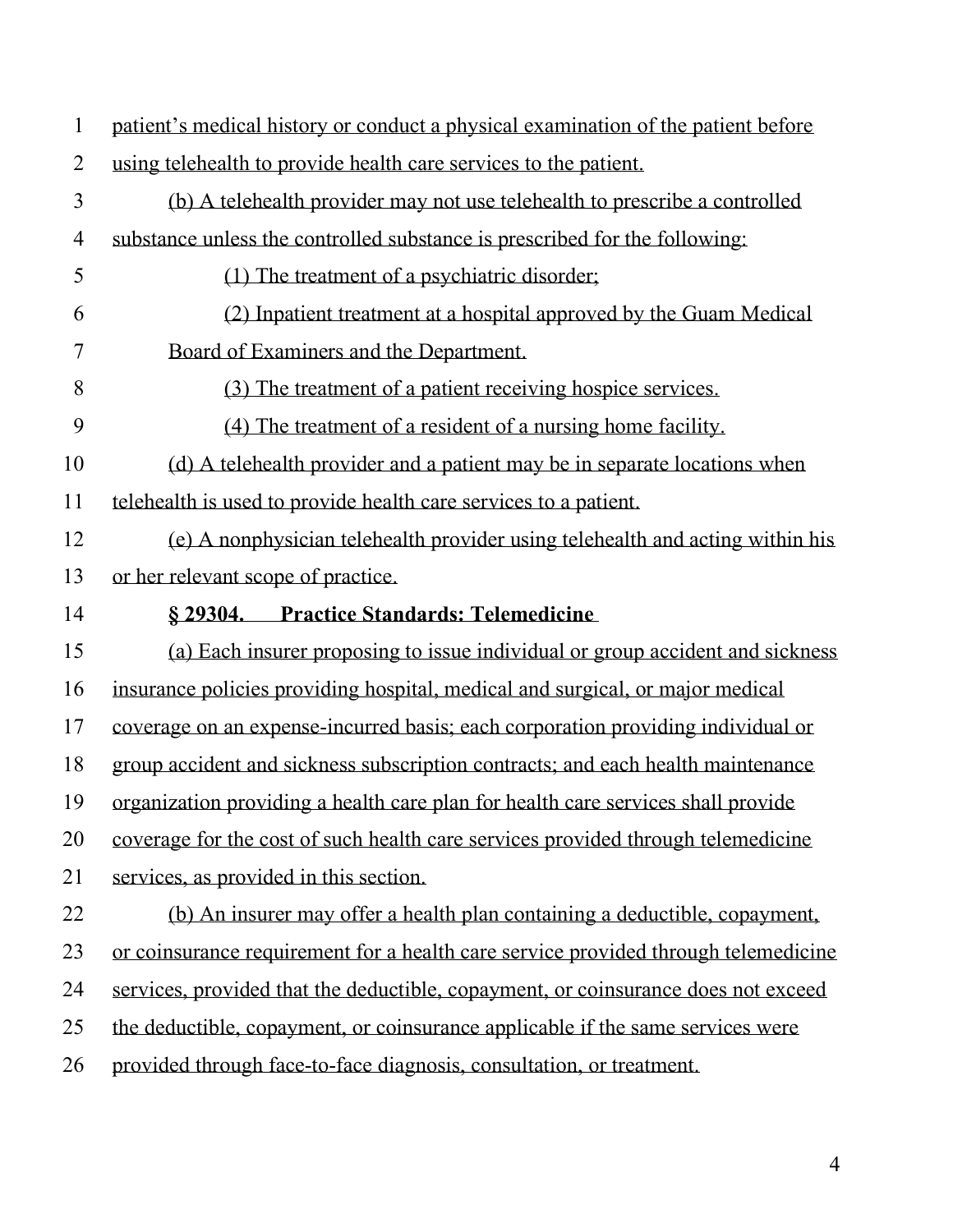| $\mathbf{1}$   | patient's medical history or conduct a physical examination of the patient before  |
|----------------|------------------------------------------------------------------------------------|
| $\overline{2}$ | using telehealth to provide health care services to the patient.                   |
| $\overline{3}$ | (b) A telehealth provider may not use telehealth to prescribe a controlled         |
| $\overline{4}$ | substance unless the controlled substance is prescribed for the following:         |
| 5              | (1) The treatment of a psychiatric disorder;                                       |
| 6              | (2) Inpatient treatment at a hospital approved by the Guam Medical                 |
| 7              | Board of Examiners and the Department.                                             |
| 8              | (3) The treatment of a patient receiving hospice services.                         |
| 9              | (4) The treatment of a resident of a nursing home facility.                        |
| 10             | (d) A telehealth provider and a patient may be in separate locations when          |
| 11             | telehealth is used to provide health care services to a patient.                   |
| 12             | (e) A nonphysician telehealth provider using telehealth and acting within his      |
| 13             | or her relevant scope of practice.                                                 |
|                |                                                                                    |
| 14             | § 29304. Practice Standards: Telemedicine                                          |
| 15             | (a) Each insurer proposing to issue individual or group accident and sickness      |
| 16             | insurance policies providing hospital, medical and surgical, or major medical      |
| 17             | coverage on an expense-incurred basis; each corporation providing individual or    |
| 18             | group accident and sickness subscription contracts; and each health maintenance    |
| 19             | organization providing a health care plan for health care services shall provide   |
| 20             | coverage for the cost of such health care services provided through telemedicine   |
| 21             | services, as provided in this section.                                             |
| 22             | (b) An insurer may offer a health plan containing a deductible, copayment,         |
| 23             | or coinsurance requirement for a health care service provided through telemedicine |
| 24             | services, provided that the deductible, copayment, or coinsurance does not exceed  |
| 25             | the deductible, copayment, or coinsurance applicable if the same services were     |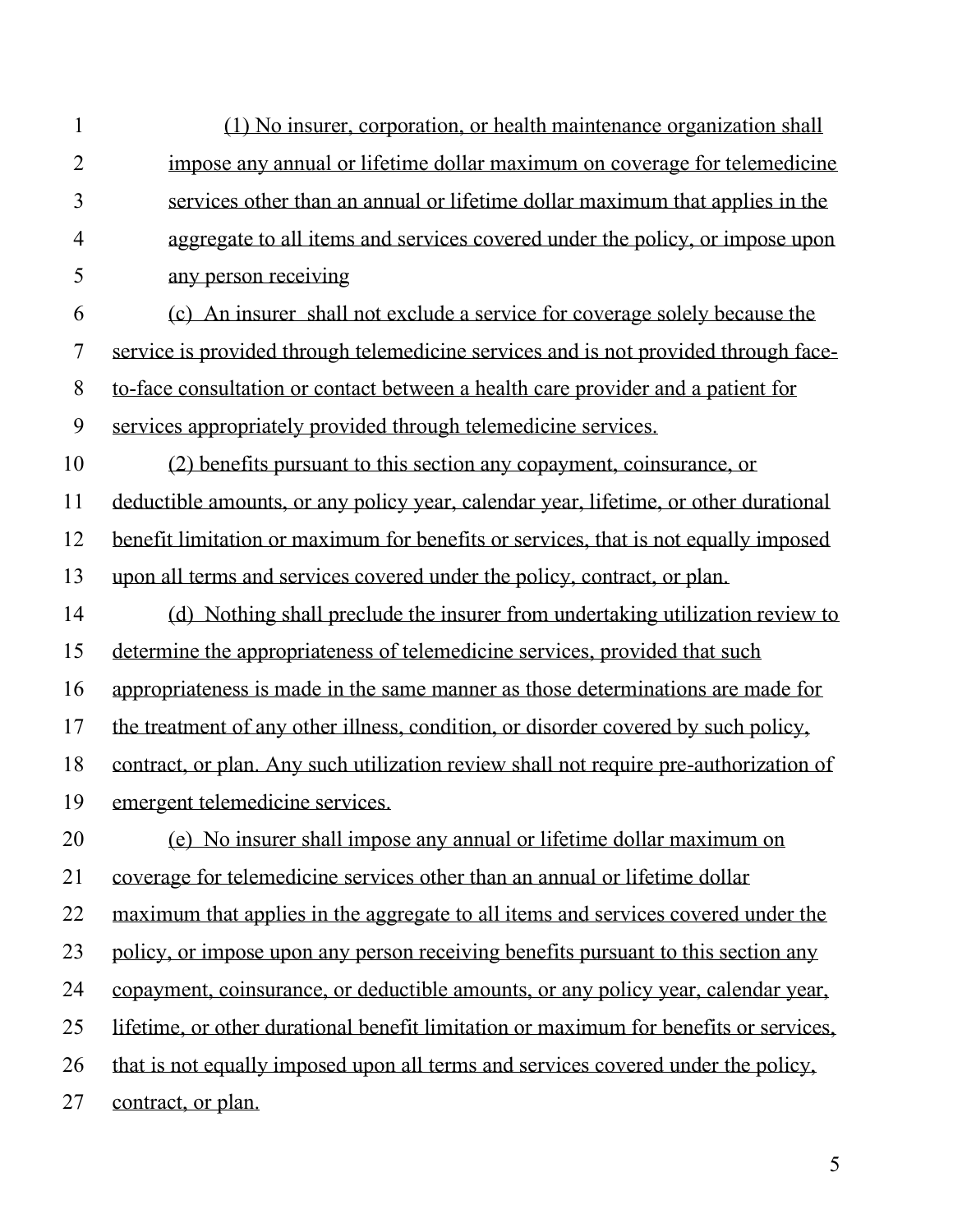(1) No insurer, corporation, or health maintenance organization shall impose any annual or lifetime dollar maximum on coverage for telemedicine services other than an annual or lifetime dollar maximum that applies in the aggregate to all items and services covered under the policy, or impose upon any person receiving (c) An insurer shall not exclude a service for coverage solely because the service is provided through telemedicine services and is not provided through face- to-face consultation or contact between a health care provider and a patient for services appropriately provided through telemedicine services. (2) benefits pursuant to this section any copayment, coinsurance, or deductible amounts, or any policy year, calendar year, lifetime, or other durational benefit limitation or maximum for benefits or services, that is not equally imposed upon all terms and services covered under the policy, contract, or plan. (d) Nothing shall preclude the insurer from undertaking utilization review to determine the appropriateness of telemedicine services, provided that such appropriateness is made in the same manner as those determinations are made for the treatment of any other illness, condition, or disorder covered by such policy, contract, or plan. Any such utilization review shall not require pre-authorization of emergent telemedicine services. (e) No insurer shall impose any annual or lifetime dollar maximum on coverage for telemedicine services other than an annual or lifetime dollar maximum that applies in the aggregate to all items and services covered under the policy, or impose upon any person receiving benefits pursuant to this section any copayment, coinsurance, or deductible amounts, or any policy year, calendar year, lifetime, or other durational benefit limitation or maximum for benefits or services, that is not equally imposed upon all terms and services covered under the policy, contract, or plan.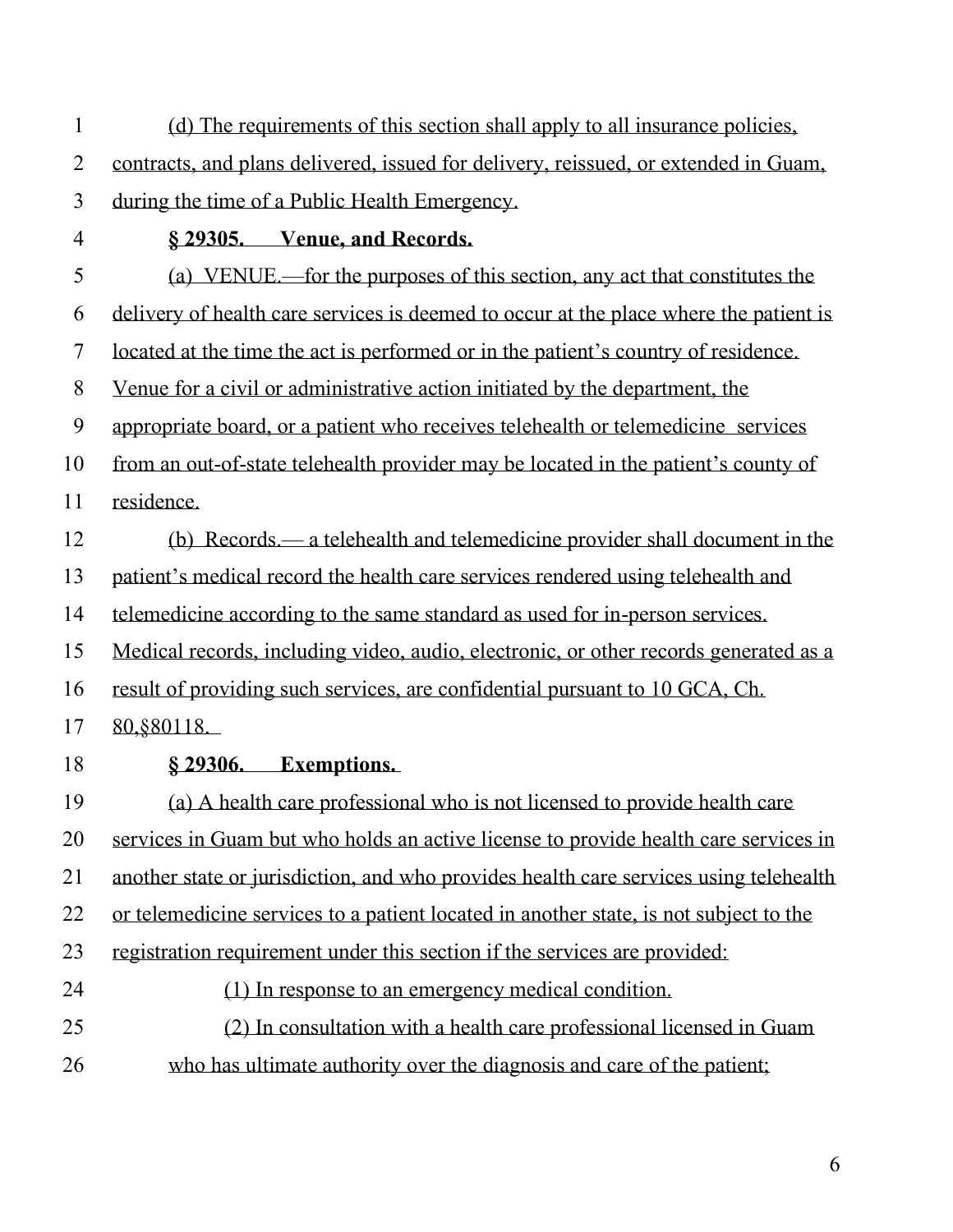| 1                        | (d) The requirements of this section shall apply to all insurance policies,           |
|--------------------------|---------------------------------------------------------------------------------------|
| $\overline{2}$           | contracts, and plans delivered, issued for delivery, reissued, or extended in Guam,   |
| 3                        | during the time of a Public Health Emergency.                                         |
| 4                        | § 29305. Venue, and Records.                                                          |
| 5                        | (a) VENUE—for the purposes of this section, any act that constitutes the              |
| 6                        | delivery of health care services is deemed to occur at the place where the patient is |
| $\overline{\mathcal{L}}$ | located at the time the act is performed or in the patient's country of residence.    |
| 8                        | Venue for a civil or administrative action initiated by the department, the           |
| 9                        | appropriate board, or a patient who receives telehealth or telemedicine services      |
| 10                       | from an out-of-state telehealth provider may be located in the patient's county of    |
| 11                       | residence.                                                                            |
| 12                       | (b) Records — a telehealth and telemedicine provider shall document in the            |
| 13                       | patient's medical record the health care services rendered using telehealth and       |
| 14                       | telemedicine according to the same standard as used for in-person services.           |
| 15                       | Medical records, including video, audio, electronic, or other records generated as a  |
| 16                       | result of providing such services, are confidential pursuant to 10 GCA, Ch.           |
| 17                       | 80, § 80118.                                                                          |
| 18                       | § 29306. Exemptions.                                                                  |
| 19                       | (a) A health care professional who is not licensed to provide health care             |
| 20                       | services in Guam but who holds an active license to provide health care services in   |
| 21                       | another state or jurisdiction, and who provides health care services using telehealth |
| 22                       | or telemedicine services to a patient located in another state, is not subject to the |
| 23                       | registration requirement under this section if the services are provided:             |
| 24                       | (1) In response to an emergency medical condition.                                    |
| 25                       | (2) In consultation with a health care professional licensed in Guam                  |
| 26                       | who has ultimate authority over the diagnosis and care of the patient;                |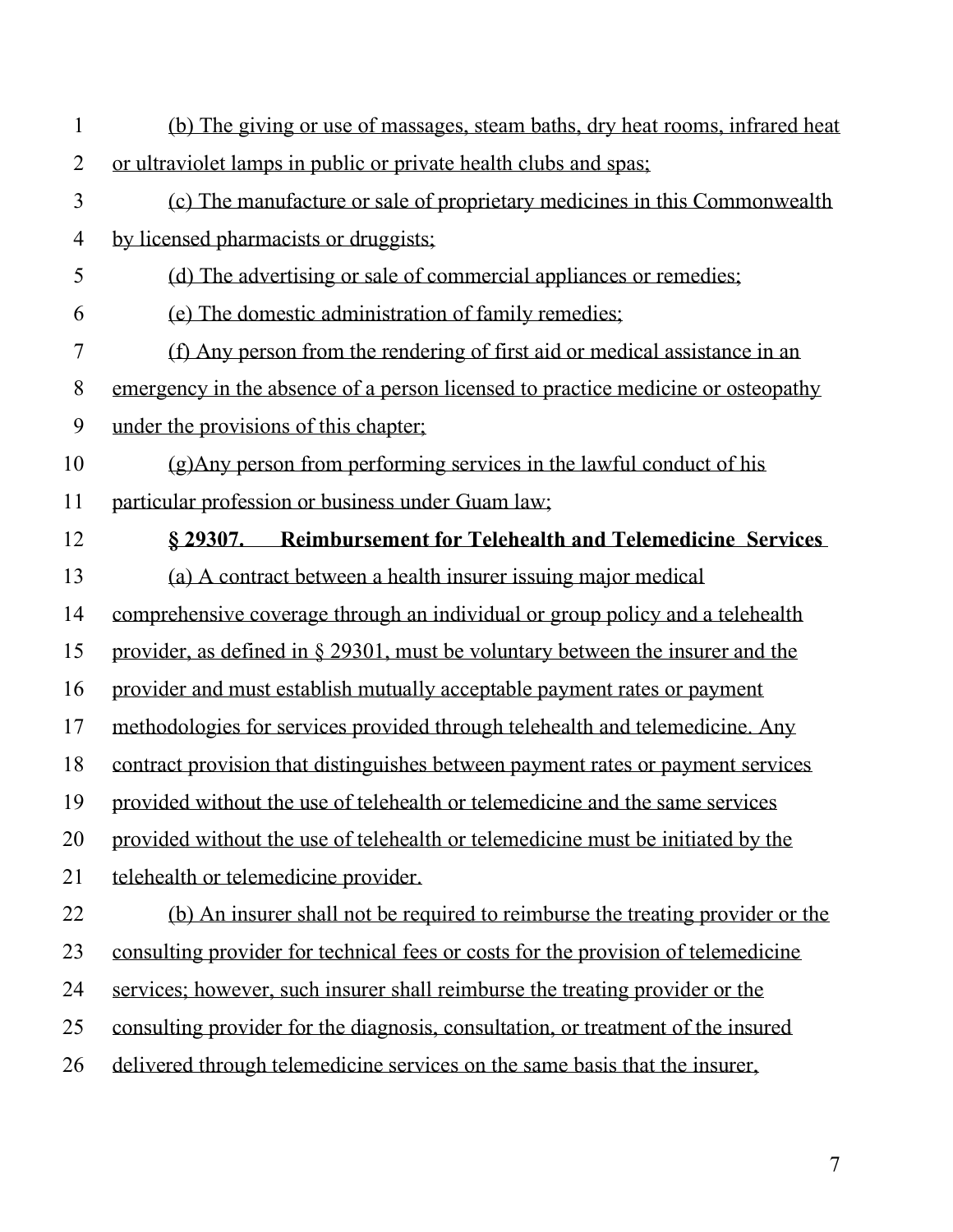| $\mathbf{1}$   | (b) The giving or use of massages, steam baths, dry heat rooms, infrared heat     |
|----------------|-----------------------------------------------------------------------------------|
| $\overline{2}$ | or ultraviolet lamps in public or private health clubs and spas;                  |
| $\overline{3}$ | (c) The manufacture or sale of proprietary medicines in this Commonwealth         |
| $\overline{4}$ | by licensed pharmacists or druggists;                                             |
| 5              | (d) The advertising or sale of commercial appliances or remedies;                 |
| 6              | (e) The domestic administration of family remedies;                               |
| $\tau$         | (f) Any person from the rendering of first aid or medical assistance in an        |
| 8              | emergency in the absence of a person licensed to practice medicine or osteopathy  |
| 9              | under the provisions of this chapter;                                             |
| 10             | (g) Any person from performing services in the lawful conduct of his              |
| 11             | particular profession or business under Guam law;                                 |
| 12             | § 29307. Reimbursement for Telehealth and Telemedicine Services                   |
| 13             | (a) A contract between a health insurer issuing major medical                     |
| 14             | comprehensive coverage through an individual or group policy and a telehealth     |
| 15             | provider, as defined in $\S$ 29301, must be voluntary between the insurer and the |
| 16             | provider and must establish mutually acceptable payment rates or payment          |
| 17             | methodologies for services provided through telehealth and telemedicine. Any      |
| 18             | contract provision that distinguishes between payment rates or payment services   |
| 19             | provided without the use of telehealth or telemedicine and the same services      |
| 20             | provided without the use of telehealth or telemedicine must be initiated by the   |
| 21             | telehealth or telemedicine provider.                                              |
| 22             | (b) An insurer shall not be required to reimburse the treating provider or the    |
| 23             | consulting provider for technical fees or costs for the provision of telemedicine |
| 24             | services; however, such insurer shall reimburse the treating provider or the      |
| 25             | consulting provider for the diagnosis, consultation, or treatment of the insured  |
| 26             | delivered through telemedicine services on the same basis that the insurer,       |